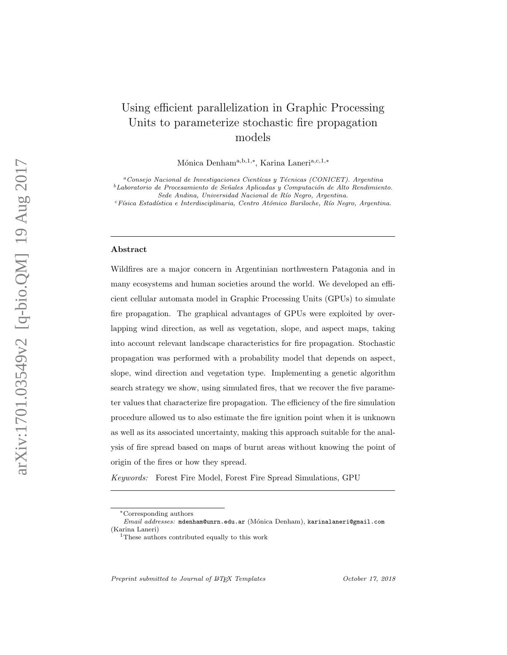# Using efficient parallelization in Graphic Processing Units to parameterize stochastic fire propagation models

Mónica Denham<sup>a, b, 1,\*</sup>, Karina Laneri<sup>a, c, 1,\*</sup>

<sup>a</sup> Conseio Nacional de Investigaciones Cientícas y Técnicas (CONICET). Argentina  $^{b}$ Laboratorio de Procesamiento de Señales Aplicadas y Computación de Alto Rendimiento.

Sede Andina, Universidad Nacional de Río Negro, Argentina.

 $c$ Física Estadística e Interdisciplinaria, Centro Atómico Bariloche, Río Negro, Argentina.

#### Abstract

Wildfires are a major concern in Argentinian northwestern Patagonia and in many ecosystems and human societies around the world. We developed an efficient cellular automata model in Graphic Processing Units (GPUs) to simulate fire propagation. The graphical advantages of GPUs were exploited by overlapping wind direction, as well as vegetation, slope, and aspect maps, taking into account relevant landscape characteristics for fire propagation. Stochastic propagation was performed with a probability model that depends on aspect, slope, wind direction and vegetation type. Implementing a genetic algorithm search strategy we show, using simulated fires, that we recover the five parameter values that characterize fire propagation. The efficiency of the fire simulation procedure allowed us to also estimate the fire ignition point when it is unknown as well as its associated uncertainty, making this approach suitable for the analysis of fire spread based on maps of burnt areas without knowing the point of origin of the fires or how they spread.

Keywords: Forest Fire Model, Forest Fire Spread Simulations, GPU

Preprint submitted to Journal of IATFX Templates

<sup>∗</sup>Corresponding authors

Email addresses: mdenham@unrn.edu.ar (M´onica Denham), karinalaneri@gmail.com (Karina Laneri)

<sup>&</sup>lt;sup>1</sup>These authors contributed equally to this work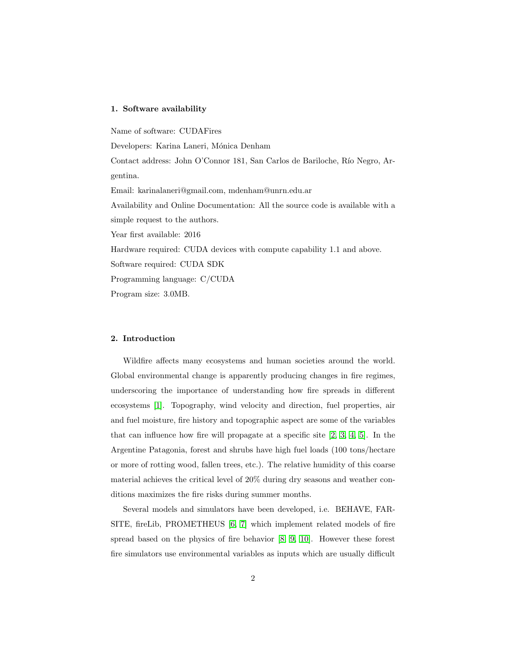#### 1. Software availability

Name of software: CUDAFires Developers: Karina Laneri, Mónica Denham Contact address: John O'Connor 181, San Carlos de Bariloche, Río Negro, Argentina. Email: karinalaneri@gmail.com, mdenham@unrn.edu.ar Availability and Online Documentation: All the source code is available with a simple request to the authors. Year first available: 2016 Hardware required: CUDA devices with compute capability 1.1 and above. Software required: CUDA SDK Programming language: C/CUDA Program size: 3.0MB.

#### 2. Introduction

Wildfire affects many ecosystems and human societies around the world. Global environmental change is apparently producing changes in fire regimes, underscoring the importance of understanding how fire spreads in different ecosystems [\[1\]](#page-20-0). Topography, wind velocity and direction, fuel properties, air and fuel moisture, fire history and topographic aspect are some of the variables that can influence how fire will propagate at a specific site [\[2,](#page-20-1) [3,](#page-20-2) [4,](#page-20-3) [5\]](#page-21-0). In the Argentine Patagonia, forest and shrubs have high fuel loads (100 tons/hectare or more of rotting wood, fallen trees, etc.). The relative humidity of this coarse material achieves the critical level of 20% during dry seasons and weather conditions maximizes the fire risks during summer months.

Several models and simulators have been developed, i.e. BEHAVE, FAR-SITE, fireLib, PROMETHEUS [\[6,](#page-21-1) [7\]](#page-21-2) which implement related models of fire spread based on the physics of fire behavior [\[8,](#page-21-3) [9,](#page-21-4) [10\]](#page-21-5). However these forest fire simulators use environmental variables as inputs which are usually difficult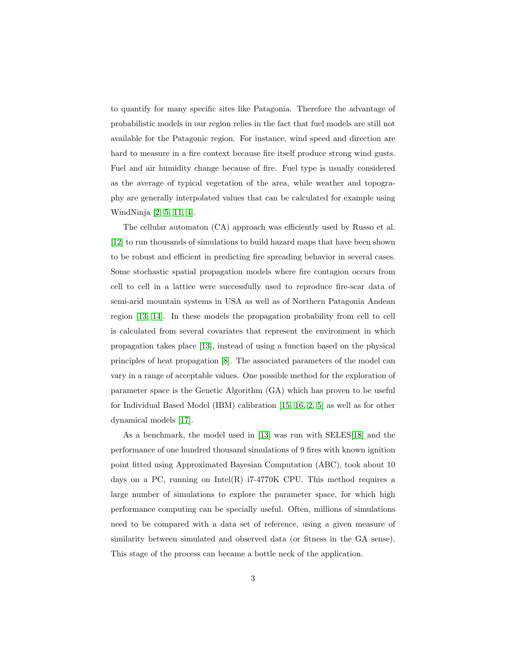to quantify for many specific sites like Patagonia. Therefore the advantage of probabilistic models in our region relies in the fact that fuel models are still not available for the Patagonic region. For instance, wind speed and direction are hard to measure in a fire context because fire itself produce strong wind gusts. Fuel and air humidity change because of fire. Fuel type is usually considered as the average of typical vegetation of the area, while weather and topography are generally interpolated values that can be calculated for example using WindNinja [\[2,](#page-20-1) [5,](#page-21-0) [11,](#page-21-6) [4\]](#page-20-3).

The cellular automaton (CA) approach was efficiently used by Russo et al. [\[12\]](#page-21-7) to run thousands of simulations to build hazard maps that have been shown to be robust and efficient in predicting fire spreading behavior in several cases. Some stochastic spatial propagation models where fire contagion occurs from cell to cell in a lattice were successfully used to reproduce fire-scar data of semi-arid mountain systems in USA as well as of Northern Patagonia Andean region [\[13,](#page-22-0) [14\]](#page-22-1). In these models the propagation probability from cell to cell is calculated from several covariates that represent the environment in which propagation takes place [\[13\]](#page-22-0), instead of using a function based on the physical principles of heat propagation [\[8\]](#page-21-3). The associated parameters of the model can vary in a range of acceptable values. One possible method for the exploration of parameter space is the Genetic Algorithm (GA) which has proven to be useful for Individual Based Model (IBM) calibration [\[15,](#page-22-2) [16,](#page-22-3) [2,](#page-20-1) [5\]](#page-21-0) as well as for other dynamical models [\[17\]](#page-22-4).

As a benchmark, the model used in [\[13\]](#page-22-0) was run with SELES[\[18\]](#page-22-5) and the performance of one hundred thousand simulations of 9 fires with known ignition point fitted using Approximated Bayesian Computation (ABC), took about 10 days on a PC, running on Intel(R)  $i7-4770K$  CPU. This method requires a large number of simulations to explore the parameter space, for which high performance computing can be specially useful. Often, millions of simulations need to be compared with a data set of reference, using a given measure of similarity between simulated and observed data (or fitness in the GA sense). This stage of the process can became a bottle neck of the application.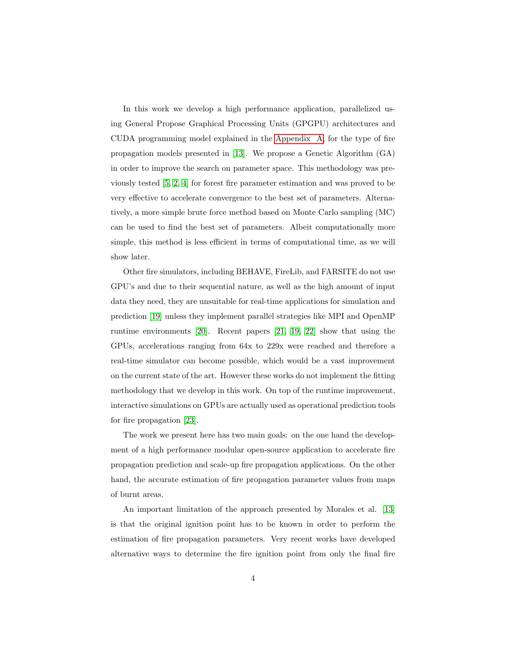In this work we develop a high performance application, parallelized using General Propose Graphical Processing Units (GPGPU) architectures and CUDA programming model explained in the [Appendix A,](#page-24-0) for the type of fire propagation models presented in [\[13\]](#page-22-0). We propose a Genetic Algorithm (GA) in order to improve the search on parameter space. This methodology was previously tested [\[5,](#page-21-0) [2,](#page-20-1) [4\]](#page-20-3) for forest fire parameter estimation and was proved to be very effective to accelerate convergence to the best set of parameters. Alternatively, a more simple brute force method based on Monte Carlo sampling (MC) can be used to find the best set of parameters. Albeit computationally more simple, this method is less efficient in terms of computational time, as we will show later.

Other fire simulators, including BEHAVE, FireLib, and FARSITE do not use GPU's and due to their sequential nature, as well as the high amount of input data they need, they are unsuitable for real-time applications for simulation and prediction [\[19\]](#page-22-6) unless they implement parallel strategies like MPI and OpenMP runtime environments [\[20\]](#page-23-0). Recent papers [\[21,](#page-23-1) [19,](#page-22-6) [22\]](#page-23-2) show that using the GPUs, accelerations ranging from 64x to 229x were reached and therefore a real-time simulator can become possible, which would be a vast improvement on the current state of the art. However these works do not implement the fitting methodology that we develop in this work. On top of the runtime improvement, interactive simulations on GPUs are actually used as operational prediction tools for fire propagation [\[23\]](#page-23-3).

The work we present here has two main goals: on the one hand the development of a high performance modular open-source application to accelerate fire propagation prediction and scale-up fire propagation applications. On the other hand, the accurate estimation of fire propagation parameter values from maps of burnt areas.

An important limitation of the approach presented by Morales et al. [\[13\]](#page-22-0) is that the original ignition point has to be known in order to perform the estimation of fire propagation parameters. Very recent works have developed alternative ways to determine the fire ignition point from only the final fire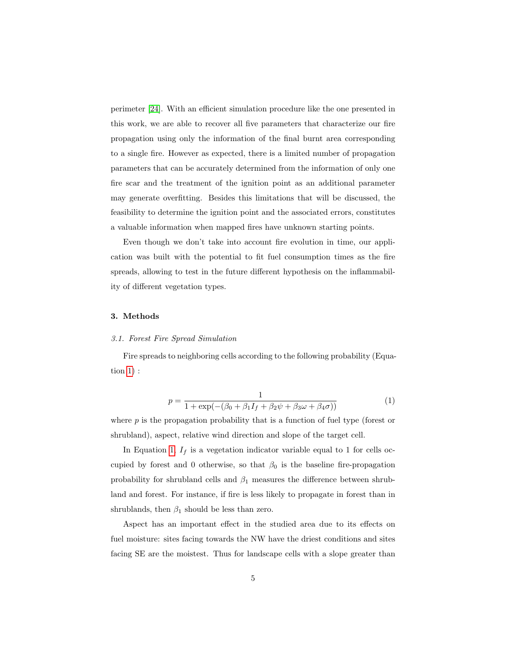perimeter [\[24\]](#page-23-4). With an efficient simulation procedure like the one presented in this work, we are able to recover all five parameters that characterize our fire propagation using only the information of the final burnt area corresponding to a single fire. However as expected, there is a limited number of propagation parameters that can be accurately determined from the information of only one fire scar and the treatment of the ignition point as an additional parameter may generate overfitting. Besides this limitations that will be discussed, the feasibility to determine the ignition point and the associated errors, constitutes a valuable information when mapped fires have unknown starting points.

Even though we don't take into account fire evolution in time, our application was built with the potential to fit fuel consumption times as the fire spreads, allowing to test in the future different hypothesis on the inflammability of different vegetation types.

#### 3. Methods

#### 3.1. Forest Fire Spread Simulation

Fire spreads to neighboring cells according to the following probability (Equation [1\)](#page-4-0) :

<span id="page-4-0"></span>
$$
p = \frac{1}{1 + \exp(-(\beta_0 + \beta_1 I_f + \beta_2 \psi + \beta_3 \omega + \beta_4 \sigma))}
$$
(1)

where  $p$  is the propagation probability that is a function of fuel type (forest or shrubland), aspect, relative wind direction and slope of the target cell.

In Equation [1,](#page-4-0)  $I_f$  is a vegetation indicator variable equal to 1 for cells occupied by forest and 0 otherwise, so that  $\beta_0$  is the baseline fire-propagation probability for shrubland cells and  $\beta_1$  measures the difference between shrubland and forest. For instance, if fire is less likely to propagate in forest than in shrublands, then  $\beta_1$  should be less than zero.

Aspect has an important effect in the studied area due to its effects on fuel moisture: sites facing towards the NW have the driest conditions and sites facing SE are the moistest. Thus for landscape cells with a slope greater than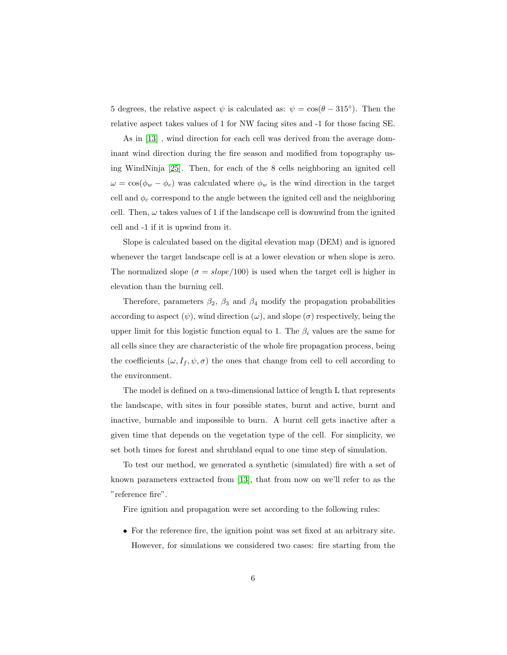5 degrees, the relative aspect  $\psi$  is calculated as:  $\psi = \cos(\theta - 315^{\circ})$ . Then the relative aspect takes values of 1 for NW facing sites and -1 for those facing SE.

As in [\[13\]](#page-22-0) , wind direction for each cell was derived from the average dominant wind direction during the fire season and modified from topography using WindNinja [\[25\]](#page-23-5). Then, for each of the 8 cells neighboring an ignited cell  $\omega = \cos(\phi_w - \phi_c)$  was calculated where  $\phi_w$  is the wind direction in the target cell and  $\phi_c$  correspond to the angle between the ignited cell and the neighboring cell. Then,  $\omega$  takes values of 1 if the landscape cell is downwind from the ignited cell and -1 if it is upwind from it.

Slope is calculated based on the digital elevation map (DEM) and is ignored whenever the target landscape cell is at a lower elevation or when slope is zero. The normalized slope ( $\sigma = slope/100$ ) is used when the target cell is higher in elevation than the burning cell.

Therefore, parameters  $\beta_2$ ,  $\beta_3$  and  $\beta_4$  modify the propagation probabilities according to aspect  $(\psi)$ , wind direction  $(\omega)$ , and slope  $(\sigma)$  respectively, being the upper limit for this logistic function equal to 1. The  $\beta_i$  values are the same for all cells since they are characteristic of the whole fire propagation process, being the coefficients  $(\omega, I_f, \psi, \sigma)$  the ones that change from cell to cell according to the environment.

The model is defined on a two-dimensional lattice of length L that represents the landscape, with sites in four possible states, burnt and active, burnt and inactive, burnable and impossible to burn. A burnt cell gets inactive after a given time that depends on the vegetation type of the cell. For simplicity, we set both times for forest and shrubland equal to one time step of simulation.

To test our method, we generated a synthetic (simulated) fire with a set of known parameters extracted from [\[13\]](#page-22-0), that from now on we'll refer to as the "reference fire".

Fire ignition and propagation were set according to the following rules:

• For the reference fire, the ignition point was set fixed at an arbitrary site. However, for simulations we considered two cases: fire starting from the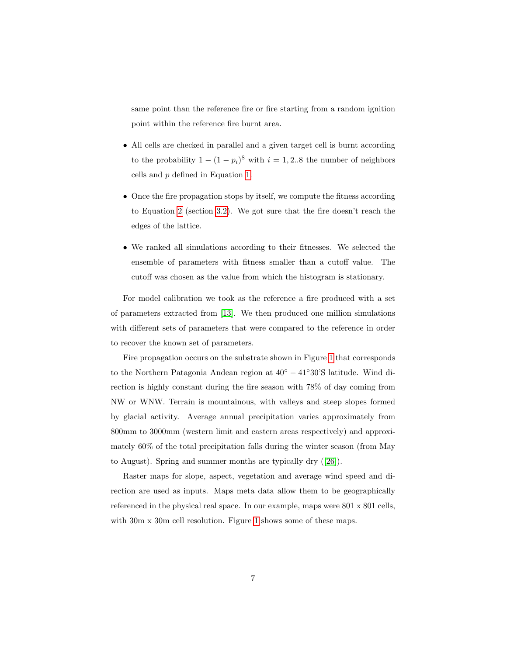same point than the reference fire or fire starting from a random ignition point within the reference fire burnt area.

- All cells are checked in parallel and a given target cell is burnt according to the probability  $1 - (1 - p_i)^8$  with  $i = 1, 2..8$  the number of neighbors cells and p defined in Equation [1.](#page-4-0)
- Once the fire propagation stops by itself, we compute the fitness according to Equation [2](#page-8-0) (section [3.2\)](#page-7-0). We got sure that the fire doesn't reach the edges of the lattice.
- We ranked all simulations according to their fitnesses. We selected the ensemble of parameters with fitness smaller than a cutoff value. The cutoff was chosen as the value from which the histogram is stationary.

For model calibration we took as the reference a fire produced with a set of parameters extracted from [\[13\]](#page-22-0). We then produced one million simulations with different sets of parameters that were compared to the reference in order to recover the known set of parameters.

Fire propagation occurs on the substrate shown in Figure [1](#page-7-1) that corresponds to the Northern Patagonia Andean region at 40◦ − 41◦30'S latitude. Wind direction is highly constant during the fire season with 78% of day coming from NW or WNW. Terrain is mountainous, with valleys and steep slopes formed by glacial activity. Average annual precipitation varies approximately from 800mm to 3000mm (western limit and eastern areas respectively) and approximately 60% of the total precipitation falls during the winter season (from May to August). Spring and summer months are typically dry ([\[26\]](#page-23-6)).

Raster maps for slope, aspect, vegetation and average wind speed and direction are used as inputs. Maps meta data allow them to be geographically referenced in the physical real space. In our example, maps were 801 x 801 cells, with 30m x 30m cell resolution. Figure [1](#page-7-1) shows some of these maps.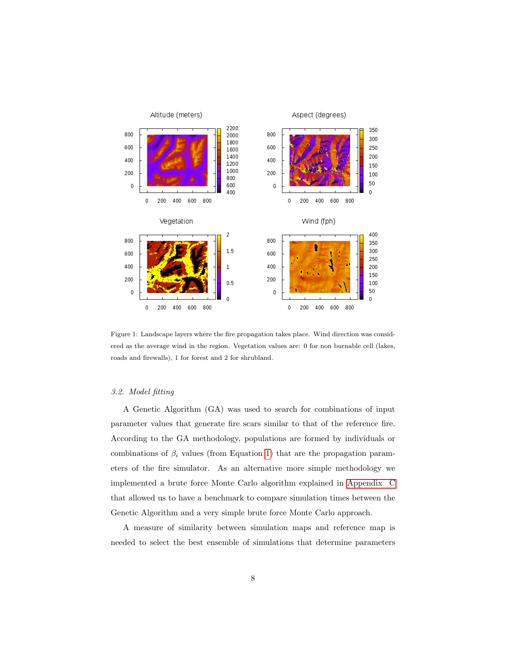

<span id="page-7-1"></span>Figure 1: Landscape layers where the fire propagation takes place. Wind direction was considered as the average wind in the region. Vegetation values are: 0 for non burnable cell (lakes, roads and firewalls), 1 for forest and 2 for shrubland.

#### <span id="page-7-0"></span>3.2. Model fitting

A Genetic Algorithm (GA) was used to search for combinations of input parameter values that generate fire scars similar to that of the reference fire. According to the GA methodology, populations are formed by individuals or combinations of  $\beta_i$  values (from Equation [1\)](#page-4-0) that are the propagation parameters of the fire simulator. As an alternative more simple methodology we implemented a brute force Monte Carlo algorithm explained in [Appendix C](#page-27-0) that allowed us to have a benchmark to compare simulation times between the Genetic Algorithm and a very simple brute force Monte Carlo approach.

A measure of similarity between simulation maps and reference map is needed to select the best ensemble of simulations that determine parameters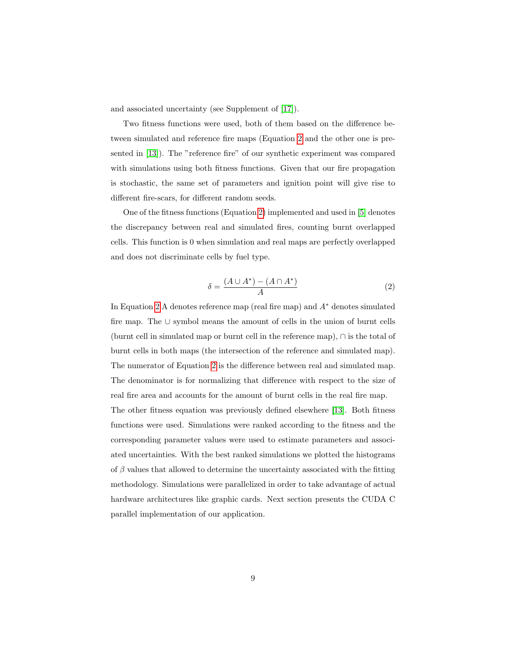and associated uncertainty (see Supplement of [\[17\]](#page-22-4)).

Two fitness functions were used, both of them based on the difference between simulated and reference fire maps (Equation [2](#page-8-0) and the other one is presented in [\[13\]](#page-22-0)). The "reference fire" of our synthetic experiment was compared with simulations using both fitness functions. Given that our fire propagation is stochastic, the same set of parameters and ignition point will give rise to different fire-scars, for different random seeds.

One of the fitness functions (Equation [2\)](#page-8-0) implemented and used in [\[5\]](#page-21-0) denotes the discrepancy between real and simulated fires, counting burnt overlapped cells. This function is 0 when simulation and real maps are perfectly overlapped and does not discriminate cells by fuel type.

<span id="page-8-0"></span>
$$
\delta = \frac{(A \cup A^*) - (A \cap A^*)}{A} \tag{2}
$$

In Equation [2](#page-8-0) A denotes reference map (real fire map) and  $A^*$  denotes simulated fire map. The ∪ symbol means the amount of cells in the union of burnt cells (burnt cell in simulated map or burnt cell in the reference map), ∩ is the total of burnt cells in both maps (the intersection of the reference and simulated map). The numerator of Equation [2](#page-8-0) is the difference between real and simulated map. The denominator is for normalizing that difference with respect to the size of real fire area and accounts for the amount of burnt cells in the real fire map. The other fitness equation was previously defined elsewhere [\[13\]](#page-22-0). Both fitness functions were used. Simulations were ranked according to the fitness and the corresponding parameter values were used to estimate parameters and associated uncertainties. With the best ranked simulations we plotted the histograms of  $\beta$  values that allowed to determine the uncertainty associated with the fitting methodology. Simulations were parallelized in order to take advantage of actual hardware architectures like graphic cards. Next section presents the CUDA C parallel implementation of our application.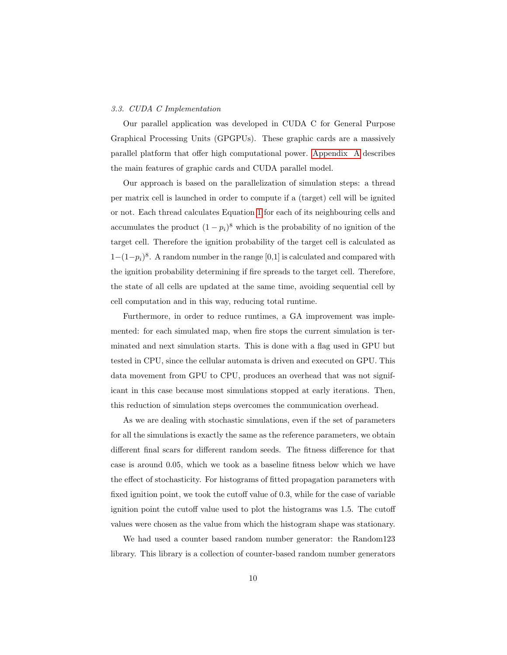#### 3.3. CUDA C Implementation

Our parallel application was developed in CUDA C for General Purpose Graphical Processing Units (GPGPUs). These graphic cards are a massively parallel platform that offer high computational power. [Appendix A](#page-24-0) describes the main features of graphic cards and CUDA parallel model.

Our approach is based on the parallelization of simulation steps: a thread per matrix cell is launched in order to compute if a (target) cell will be ignited or not. Each thread calculates Equation [1](#page-4-0) for each of its neighbouring cells and accumulates the product  $(1 - p_i)^8$  which is the probability of no ignition of the target cell. Therefore the ignition probability of the target cell is calculated as  $1-(1-p_i)^8$ . A random number in the range [0,1] is calculated and compared with the ignition probability determining if fire spreads to the target cell. Therefore, the state of all cells are updated at the same time, avoiding sequential cell by cell computation and in this way, reducing total runtime.

Furthermore, in order to reduce runtimes, a GA improvement was implemented: for each simulated map, when fire stops the current simulation is terminated and next simulation starts. This is done with a flag used in GPU but tested in CPU, since the cellular automata is driven and executed on GPU. This data movement from GPU to CPU, produces an overhead that was not significant in this case because most simulations stopped at early iterations. Then, this reduction of simulation steps overcomes the communication overhead.

As we are dealing with stochastic simulations, even if the set of parameters for all the simulations is exactly the same as the reference parameters, we obtain different final scars for different random seeds. The fitness difference for that case is around 0.05, which we took as a baseline fitness below which we have the effect of stochasticity. For histograms of fitted propagation parameters with fixed ignition point, we took the cutoff value of 0.3, while for the case of variable ignition point the cutoff value used to plot the histograms was 1.5. The cutoff values were chosen as the value from which the histogram shape was stationary.

We had used a counter based random number generator: the Random123 library. This library is a collection of counter-based random number generators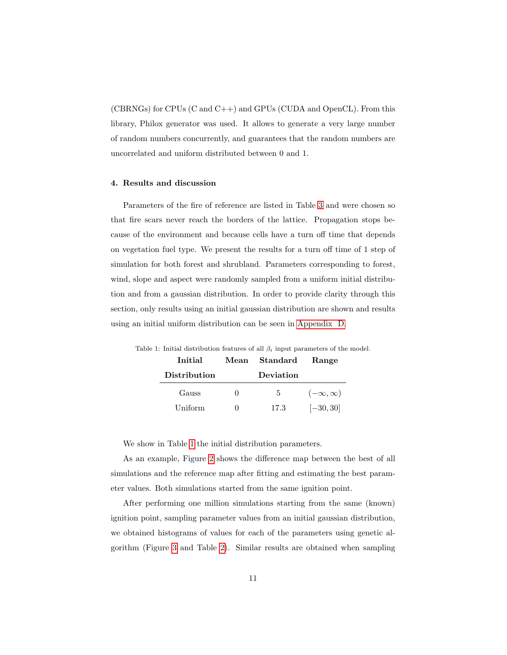(CBRNGs) for CPUs (C and C++) and GPUs (CUDA and OpenCL). From this library, Philox generator was used. It allows to generate a very large number of random numbers concurrently, and guarantees that the random numbers are uncorrelated and uniform distributed between 0 and 1.

#### 4. Results and discussion

Parameters of the fire of reference are listed in Table [3](#page-13-0) and were chosen so that fire scars never reach the borders of the lattice. Propagation stops because of the environment and because cells have a turn off time that depends on vegetation fuel type. We present the results for a turn off time of 1 step of simulation for both forest and shrubland. Parameters corresponding to forest, wind, slope and aspect were randomly sampled from a uniform initial distribution and from a gaussian distribution. In order to provide clarity through this section, only results using an initial gaussian distribution are shown and results using an initial uniform distribution can be seen in [Appendix D.](#page-29-0)

<span id="page-10-0"></span>

| Initial             | Mean | Standard  | Range              |
|---------------------|------|-----------|--------------------|
| <b>Distribution</b> |      | Deviation |                    |
| Gauss               |      | 5         | $(-\infty,\infty)$ |
| Uniform             |      | 17.3      | $[-30, 30]$        |

Table 1: Initial distribution features of all  $\beta_i$  input parameters of the model.

We show in Table [1](#page-10-0) the initial distribution parameters.

As an example, Figure [2](#page-11-0) shows the difference map between the best of all simulations and the reference map after fitting and estimating the best parameter values. Both simulations started from the same ignition point.

After performing one million simulations starting from the same (known) ignition point, sampling parameter values from an initial gaussian distribution, we obtained histograms of values for each of the parameters using genetic algorithm (Figure [3](#page-12-0) and Table [2\)](#page-13-1). Similar results are obtained when sampling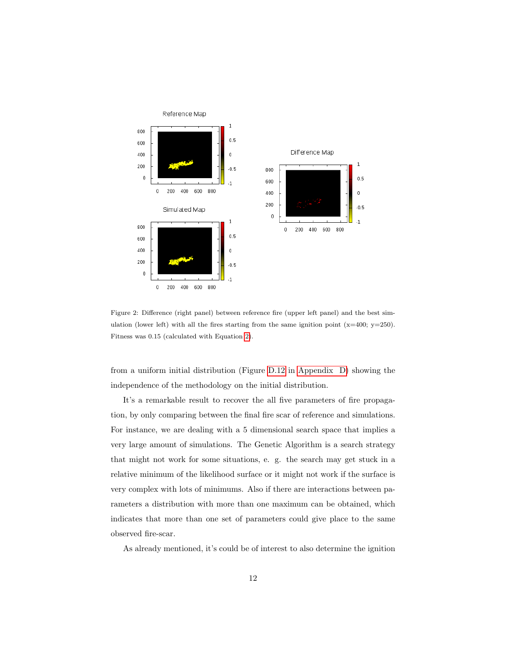

<span id="page-11-0"></span>Figure 2: Difference (right panel) between reference fire (upper left panel) and the best simulation (lower left) with all the fires starting from the same ignition point  $(x=400; y=250)$ . Fitness was 0.15 (calculated with Equation [2\)](#page-8-0).

from a uniform initial distribution (Figure [D.12](#page-31-0) in [Appendix D\)](#page-29-0) showing the independence of the methodology on the initial distribution.

It's a remarkable result to recover the all five parameters of fire propagation, by only comparing between the final fire scar of reference and simulations. For instance, we are dealing with a 5 dimensional search space that implies a very large amount of simulations. The Genetic Algorithm is a search strategy that might not work for some situations, e. g. the search may get stuck in a relative minimum of the likelihood surface or it might not work if the surface is very complex with lots of minimums. Also if there are interactions between parameters a distribution with more than one maximum can be obtained, which indicates that more than one set of parameters could give place to the same observed fire-scar.

As already mentioned, it's could be of interest to also determine the ignition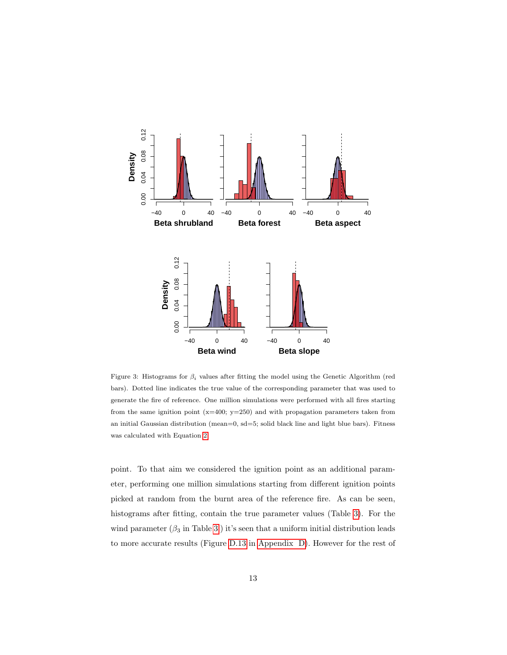

<span id="page-12-0"></span>Figure 3: Histograms for  $\beta_i$  values after fitting the model using the Genetic Algorithm (red bars). Dotted line indicates the true value of the corresponding parameter that was used to generate the fire of reference. One million simulations were performed with all fires starting from the same ignition point  $(x=400; y=250)$  and with propagation parameters taken from an initial Gaussian distribution (mean=0, sd=5; solid black line and light blue bars). Fitness was calculated with Equation [2.](#page-8-0)

point. To that aim we considered the ignition point as an additional parameter, performing one million simulations starting from different ignition points picked at random from the burnt area of the reference fire. As can be seen, histograms after fitting, contain the true parameter values (Table [3\)](#page-13-0). For the wind parameter  $(\beta_3$  in Table [3](#page-13-0) ) it's seen that a uniform initial distribution leads to more accurate results (Figure [D.13](#page-32-0) in [Appendix D\)](#page-29-0). However for the rest of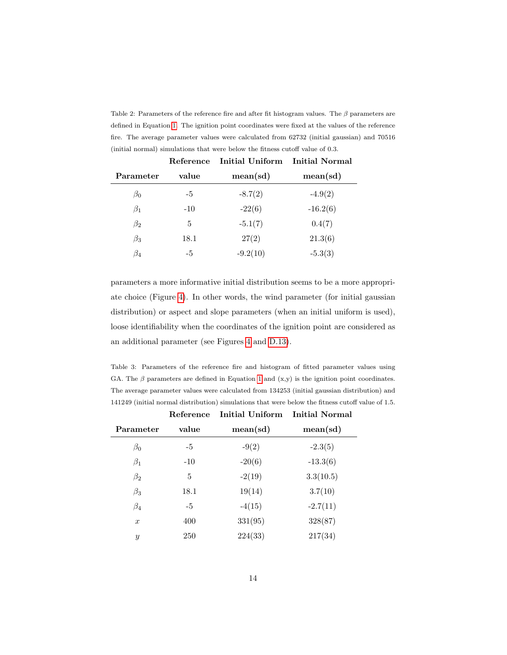<span id="page-13-1"></span>Table 2: Parameters of the reference fire and after fit histogram values. The  $\beta$  parameters are defined in Equation [1.](#page-4-0) The ignition point coordinates were fixed at the values of the reference fire. The average parameter values were calculated from 62732 (initial gaussian) and 70516 (initial normal) simulations that were below the fitness cutoff value of 0.3.

|           | Reference | <b>Initial Uniform</b> | <b>Initial Normal</b> |
|-----------|-----------|------------------------|-----------------------|
| Parameter | value     | mean(sd)               | mean(sd)              |
| $\beta_0$ | -5        | $-8.7(2)$              | $-4.9(2)$             |
| $\beta_1$ | $-10$     | $-22(6)$               | $-16.2(6)$            |
| $\beta_2$ | 5         | $-5.1(7)$              | 0.4(7)                |
| $\beta_3$ | 18.1      | 27(2)                  | 21.3(6)               |
| $\beta_4$ | -5        | $-9.2(10)$             | $-5.3(3)$             |

parameters a more informative initial distribution seems to be a more appropriate choice (Figure [4\)](#page-14-0). In other words, the wind parameter (for initial gaussian distribution) or aspect and slope parameters (when an initial uniform is used), loose identifiability when the coordinates of the ignition point are considered as an additional parameter (see Figures [4](#page-14-0) and [D.13\)](#page-32-0).

<span id="page-13-0"></span>Table 3: Parameters of the reference fire and histogram of fitted parameter values using GA. The  $\beta$  parameters are defined in Equation [1](#page-4-0) and  $(x, y)$  is the ignition point coordinates. The average parameter values were calculated from 134253 (initial gaussian distribution) and 141249 (initial normal distribution) simulations that were below the fitness cutoff value of 1.5.

|                  | Reference | Initial Uniform | Initial Normal |  |
|------------------|-----------|-----------------|----------------|--|
| Parameter        | value     | mean(sd)        | mean(sd)       |  |
| $\beta_0$        | $-5$      | $-9(2)$         | $-2.3(5)$      |  |
| $\beta_1$        | $-10$     | $-20(6)$        | $-13.3(6)$     |  |
| $\beta_2$        | 5         | $-2(19)$        | 3.3(10.5)      |  |
| $\beta_3$        | 18.1      | 19(14)          | 3.7(10)        |  |
| $\beta_4$        | $-5$      | $-4(15)$        | $-2.7(11)$     |  |
| $\boldsymbol{x}$ | 400       | 331(95)         | 328(87)        |  |
| $\mathcal{Y}$    | 250       | 224(33)         | 217(34)        |  |
|                  |           |                 |                |  |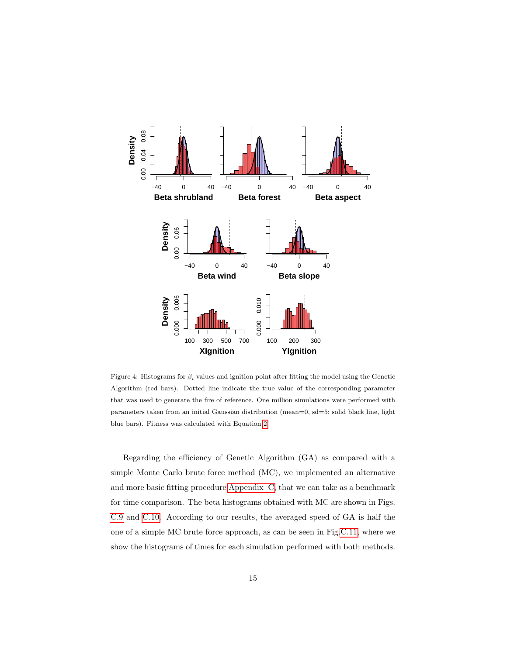

<span id="page-14-0"></span>Figure 4: Histograms for  $\beta_i$  values and ignition point after fitting the model using the Genetic Algorithm (red bars). Dotted line indicate the true value of the corresponding parameter that was used to generate the fire of reference. One million simulations were performed with parameters taken from an initial Gaussian distribution (mean=0, sd=5; solid black line, light blue bars). Fitness was calculated with Equation [2.](#page-8-0)

Regarding the efficiency of Genetic Algorithm (GA) as compared with a simple Monte Carlo brute force method (MC), we implemented an alternative and more basic fitting procedure [Appendix C,](#page-27-0) that we can take as a benchmark for time comparison. The beta histograms obtained with MC are shown in Figs. [C.9](#page-28-0) and [C.10.](#page-29-1) According to our results, the averaged speed of GA is half the one of a simple MC brute force approach, as can be seen in Fig[.C.11,](#page-30-0) where we show the histograms of times for each simulation performed with both methods.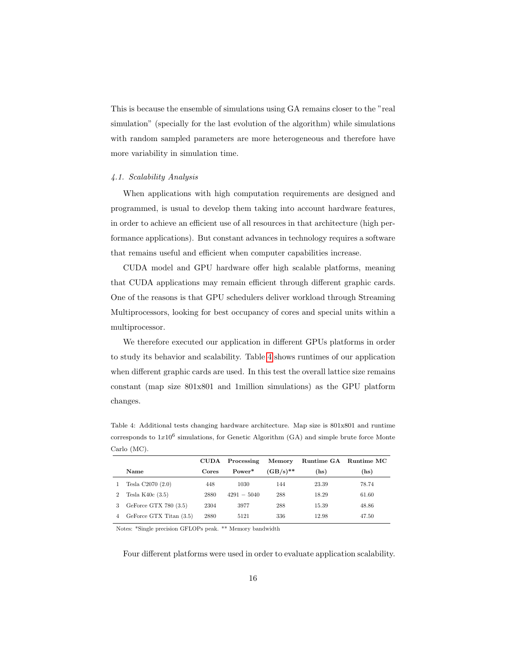This is because the ensemble of simulations using GA remains closer to the "real simulation" (specially for the last evolution of the algorithm) while simulations with random sampled parameters are more heterogeneous and therefore have more variability in simulation time.

#### 4.1. Scalability Analysis

When applications with high computation requirements are designed and programmed, is usual to develop them taking into account hardware features, in order to achieve an efficient use of all resources in that architecture (high performance applications). But constant advances in technology requires a software that remains useful and efficient when computer capabilities increase.

CUDA model and GPU hardware offer high scalable platforms, meaning that CUDA applications may remain efficient through different graphic cards. One of the reasons is that GPU schedulers deliver workload through Streaming Multiprocessors, looking for best occupancy of cores and special units within a multiprocessor.

We therefore executed our application in different GPUs platforms in order to study its behavior and scalability. Table [4](#page-15-0) shows runtimes of our application when different graphic cards are used. In this test the overall lattice size remains constant (map size 801x801 and 1million simulations) as the GPU platform changes.

<span id="page-15-0"></span>Table 4: Additional tests changing hardware architecture. Map size is 801x801 and runtime corresponds to  $1x10^6$  simulations, for Genetic Algorithm (GA) and simple brute force Monte Carlo (MC).

|                |                         |       | CUDA Processing | Memory      |       | Runtime GA Runtime MC |
|----------------|-------------------------|-------|-----------------|-------------|-------|-----------------------|
|                | <b>Name</b>             | Cores | Power*          | $(GB/s)$ ** | (hs)  | (hs)                  |
|                | Tesla $C2070(2.0)$      | 448   | 1030            | 144         | 23.39 | 78.74                 |
| $\overline{2}$ | Tesla K40 $c(3.5)$      | 2880  | $4291 - 5040$   | 288         | 18.29 | 61.60                 |
|                | GeForce GTX 780 $(3.5)$ | 2304  | 3977            | 288         | 15.39 | 48.86                 |
| 4              | GeForce GTX Titan (3.5) | 2880  | 5121            | 336         | 12.98 | 47.50                 |
|                |                         |       |                 |             |       |                       |

Notes: \*Single precision GFLOPs peak. \*\* Memory bandwidth

Four different platforms were used in order to evaluate application scalability.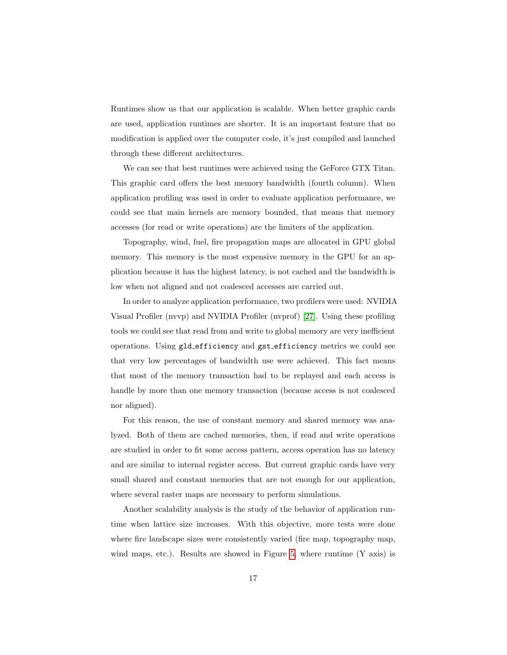Runtimes show us that our application is scalable. When better graphic cards are used, application runtimes are shorter. It is an important feature that no modification is applied over the computer code, it's just compiled and launched through these different architectures.

We can see that best runtimes were achieved using the GeForce GTX Titan. This graphic card offers the best memory bandwidth (fourth column). When application profiling was used in order to evaluate application performance, we could see that main kernels are memory bounded, that means that memory accesses (for read or write operations) are the limiters of the application.

Topography, wind, fuel, fire propagation maps are allocated in GPU global memory. This memory is the most expensive memory in the GPU for an application because it has the highest latency, is not cached and the bandwidth is low when not aligned and not coalesced accesses are carried out.

In order to analyze application performance, two profilers were used: NVIDIA Visual Profiler (nvvp) and NVIDIA Profiler (nvprof) [\[27\]](#page-24-1). Using these profiling tools we could see that read from and write to global memory are very inefficient operations. Using gld efficiency and gst efficiency metrics we could see that very low percentages of bandwidth use were achieved. This fact means that most of the memory transaction had to be replayed and each access is handle by more than one memory transaction (because access is not coalesced nor aligned).

For this reason, the use of constant memory and shared memory was analyzed. Both of them are cached memories, then, if read and write operations are studied in order to fit some access pattern, access operation has no latency and are similar to internal register access. But current graphic cards have very small shared and constant memories that are not enough for our application, where several raster maps are necessary to perform simulations.

Another scalability analysis is the study of the behavior of application runtime when lattice size increases. With this objective, more tests were done where fire landscape sizes were consistently varied (fire map, topography map, wind maps, etc.). Results are showed in Figure [5,](#page-17-0) where runtime (Y axis) is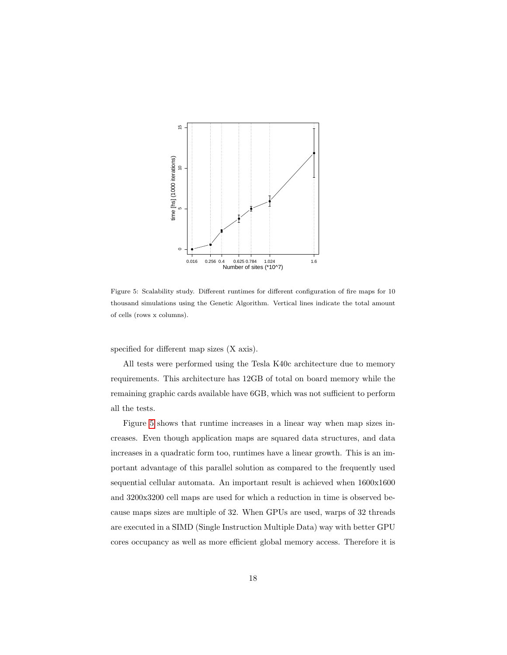

<span id="page-17-0"></span>Figure 5: Scalability study. Different runtimes for different configuration of fire maps for 10 thousand simulations using the Genetic Algorithm. Vertical lines indicate the total amount of cells (rows x columns).

specified for different map sizes (X axis).

All tests were performed using the Tesla K40c architecture due to memory requirements. This architecture has 12GB of total on board memory while the remaining graphic cards available have 6GB, which was not sufficient to perform all the tests.

Figure [5](#page-17-0) shows that runtime increases in a linear way when map sizes increases. Even though application maps are squared data structures, and data increases in a quadratic form too, runtimes have a linear growth. This is an important advantage of this parallel solution as compared to the frequently used sequential cellular automata. An important result is achieved when 1600x1600 and 3200x3200 cell maps are used for which a reduction in time is observed because maps sizes are multiple of 32. When GPUs are used, warps of 32 threads are executed in a SIMD (Single Instruction Multiple Data) way with better GPU cores occupancy as well as more efficient global memory access. Therefore it is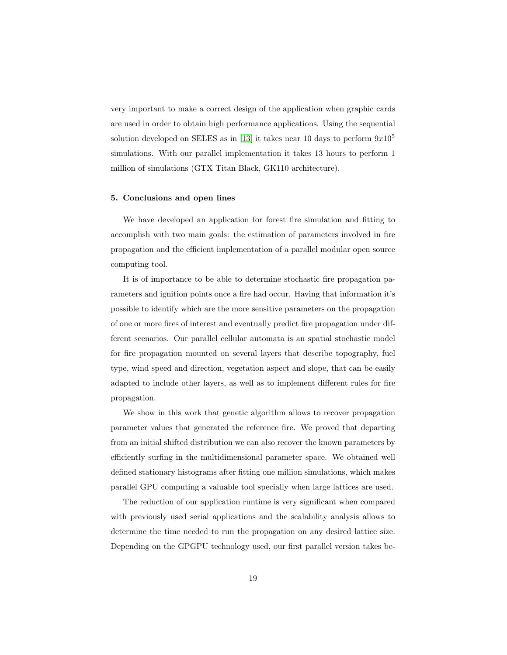very important to make a correct design of the application when graphic cards are used in order to obtain high performance applications. Using the sequential solution developed on SELES as in [\[13\]](#page-22-0) it takes near 10 days to perform  $9x10^5$ simulations. With our parallel implementation it takes 13 hours to perform 1 million of simulations (GTX Titan Black, GK110 architecture).

#### 5. Conclusions and open lines

We have developed an application for forest fire simulation and fitting to accomplish with two main goals: the estimation of parameters involved in fire propagation and the efficient implementation of a parallel modular open source computing tool.

It is of importance to be able to determine stochastic fire propagation parameters and ignition points once a fire had occur. Having that information it's possible to identify which are the more sensitive parameters on the propagation of one or more fires of interest and eventually predict fire propagation under different scenarios. Our parallel cellular automata is an spatial stochastic model for fire propagation mounted on several layers that describe topography, fuel type, wind speed and direction, vegetation aspect and slope, that can be easily adapted to include other layers, as well as to implement different rules for fire propagation.

We show in this work that genetic algorithm allows to recover propagation parameter values that generated the reference fire. We proved that departing from an initial shifted distribution we can also recover the known parameters by efficiently surfing in the multidimensional parameter space. We obtained well defined stationary histograms after fitting one million simulations, which makes parallel GPU computing a valuable tool specially when large lattices are used.

The reduction of our application runtime is very significant when compared with previously used serial applications and the scalability analysis allows to determine the time needed to run the propagation on any desired lattice size. Depending on the GPGPU technology used, our first parallel version takes be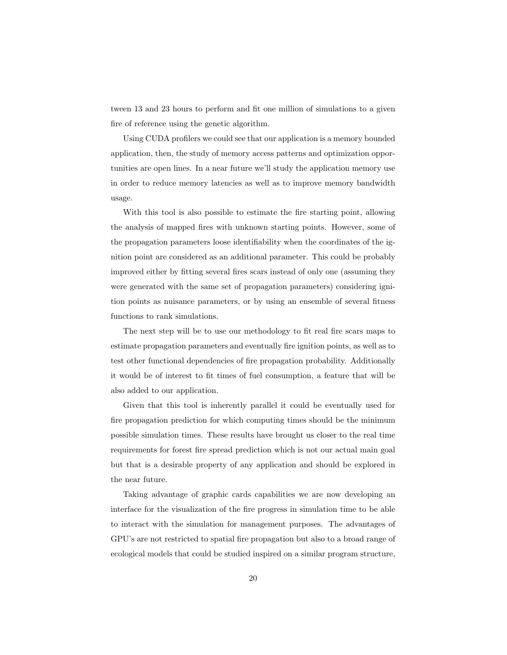tween 13 and 23 hours to perform and fit one million of simulations to a given fire of reference using the genetic algorithm.

Using CUDA profilers we could see that our application is a memory bounded application, then, the study of memory access patterns and optimization opportunities are open lines. In a near future we'll study the application memory use in order to reduce memory latencies as well as to improve memory bandwidth usage.

With this tool is also possible to estimate the fire starting point, allowing the analysis of mapped fires with unknown starting points. However, some of the propagation parameters loose identifiability when the coordinates of the ignition point are considered as an additional parameter. This could be probably improved either by fitting several fires scars instead of only one (assuming they were generated with the same set of propagation parameters) considering ignition points as nuisance parameters, or by using an ensemble of several fitness functions to rank simulations.

The next step will be to use our methodology to fit real fire scars maps to estimate propagation parameters and eventually fire ignition points, as well as to test other functional dependencies of fire propagation probability. Additionally it would be of interest to fit times of fuel consumption, a feature that will be also added to our application.

Given that this tool is inherently parallel it could be eventually used for fire propagation prediction for which computing times should be the minimum possible simulation times. These results have brought us closer to the real time requirements for forest fire spread prediction which is not our actual main goal but that is a desirable property of any application and should be explored in the near future.

Taking advantage of graphic cards capabilities we are now developing an interface for the visualization of the fire progress in simulation time to be able to interact with the simulation for management purposes. The advantages of GPU's are not restricted to spatial fire propagation but also to a broad range of ecological models that could be studied inspired on a similar program structure,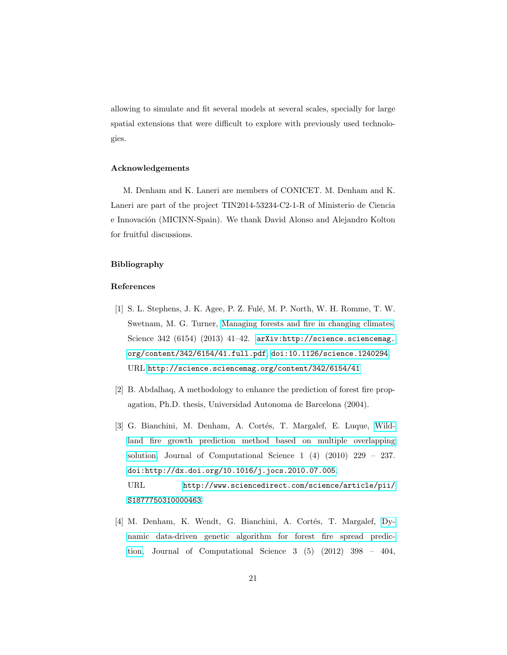allowing to simulate and fit several models at several scales, specially for large spatial extensions that were difficult to explore with previously used technologies.

#### Acknowledgements

M. Denham and K. Laneri are members of CONICET. M. Denham and K. Laneri are part of the project TIN2014-53234-C2-1-R of Ministerio de Ciencia e Innovación (MICINN-Spain). We thank David Alonso and Alejandro Kolton for fruitful discussions.

## Bibliography

## References

- <span id="page-20-0"></span>[1] S. L. Stephens, J. K. Agee, P. Z. Fulé, M. P. North, W. H. Romme, T. W. Swetnam, M. G. Turner, [Managing forests and fire in changing climates,](http://science.sciencemag.org/content/342/6154/41) Science 342 (6154) (2013) 41-42. [arXiv:http://science.sciencemag.](http://arxiv.org/abs/http://science.sciencemag.org/content/342/6154/41.full.pdf) [org/content/342/6154/41.full.pdf](http://arxiv.org/abs/http://science.sciencemag.org/content/342/6154/41.full.pdf), [doi:10.1126/science.1240294](http://dx.doi.org/10.1126/science.1240294). URL <http://science.sciencemag.org/content/342/6154/41>
- <span id="page-20-1"></span>[2] B. Abdalhaq, A methodology to enhance the prediction of forest fire propagation, Ph.D. thesis, Universidad Autonoma de Barcelona (2004).
- <span id="page-20-2"></span>[3] G. Bianchini, M. Denham, A. Cortés, T. Margalef, E. Luque, [Wild](http://www.sciencedirect.com/science/article/pii/S1877750310000463)[land fire growth prediction method based on multiple overlapping](http://www.sciencedirect.com/science/article/pii/S1877750310000463) [solution,](http://www.sciencedirect.com/science/article/pii/S1877750310000463) Journal of Computational Science 1 (4) (2010) 229 – 237. [doi:http://dx.doi.org/10.1016/j.jocs.2010.07.005](http://dx.doi.org/http://dx.doi.org/10.1016/j.jocs.2010.07.005). URL [http://www.sciencedirect.com/science/article/pii/](http://www.sciencedirect.com/science/article/pii/S1877750310000463) [S1877750310000463](http://www.sciencedirect.com/science/article/pii/S1877750310000463)
- <span id="page-20-3"></span>[4] M. Denham, K. Wendt, G. Bianchini, A. Cortés, T. Margalef, [Dy](http://www.sciencedirect.com/science/article/pii/S1877750312000658)[namic data-driven genetic algorithm for forest fire spread predic](http://www.sciencedirect.com/science/article/pii/S1877750312000658)[tion,](http://www.sciencedirect.com/science/article/pii/S1877750312000658) Journal of Computational Science 3 (5) (2012) 398 – 404,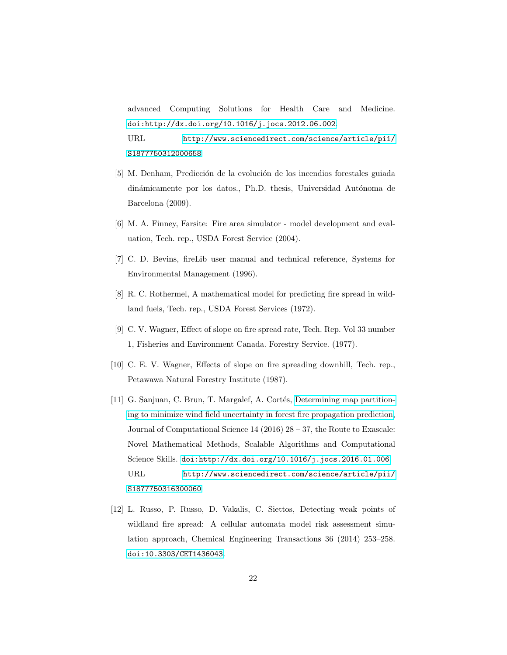advanced Computing Solutions for Health Care and Medicine. [doi:http://dx.doi.org/10.1016/j.jocs.2012.06.002](http://dx.doi.org/http://dx.doi.org/10.1016/j.jocs.2012.06.002). URL [http://www.sciencedirect.com/science/article/pii/](http://www.sciencedirect.com/science/article/pii/S1877750312000658) [S1877750312000658](http://www.sciencedirect.com/science/article/pii/S1877750312000658)

- <span id="page-21-0"></span>[5] M. Denham, Predicción de la evolución de los incendios forestales guiada dinámicamente por los datos., Ph.D. thesis, Universidad Autónoma de Barcelona (2009).
- <span id="page-21-1"></span>[6] M. A. Finney, Farsite: Fire area simulator - model development and evaluation, Tech. rep., USDA Forest Service (2004).
- <span id="page-21-2"></span>[7] C. D. Bevins, fireLib user manual and technical reference, Systems for Environmental Management (1996).
- <span id="page-21-3"></span>[8] R. C. Rothermel, A mathematical model for predicting fire spread in wildland fuels, Tech. rep., USDA Forest Services (1972).
- <span id="page-21-4"></span>[9] C. V. Wagner, Effect of slope on fire spread rate, Tech. Rep. Vol 33 number 1, Fisheries and Environment Canada. Forestry Service. (1977).
- <span id="page-21-5"></span>[10] C. E. V. Wagner, Effects of slope on fire spreading downhill, Tech. rep., Petawawa Natural Forestry Institute (1987).
- <span id="page-21-6"></span>[11] G. Sanjuan, C. Brun, T. Margalef, A. Cortés, [Determining map partition](http://www.sciencedirect.com/science/article/pii/S1877750316300060)[ing to minimize wind field uncertainty in forest fire propagation prediction,](http://www.sciencedirect.com/science/article/pii/S1877750316300060) Journal of Computational Science 14 (2016)  $28 - 37$ , the Route to Exascale: Novel Mathematical Methods, Scalable Algorithms and Computational Science Skills. [doi:http://dx.doi.org/10.1016/j.jocs.2016.01.006](http://dx.doi.org/http://dx.doi.org/10.1016/j.jocs.2016.01.006). URL [http://www.sciencedirect.com/science/article/pii/](http://www.sciencedirect.com/science/article/pii/S1877750316300060) [S1877750316300060](http://www.sciencedirect.com/science/article/pii/S1877750316300060)
- <span id="page-21-7"></span>[12] L. Russo, P. Russo, D. Vakalis, C. Siettos, Detecting weak points of wildland fire spread: A cellular automata model risk assessment simulation approach, Chemical Engineering Transactions 36 (2014) 253–258. [doi:10.3303/CET1436043](http://dx.doi.org/10.3303/CET1436043).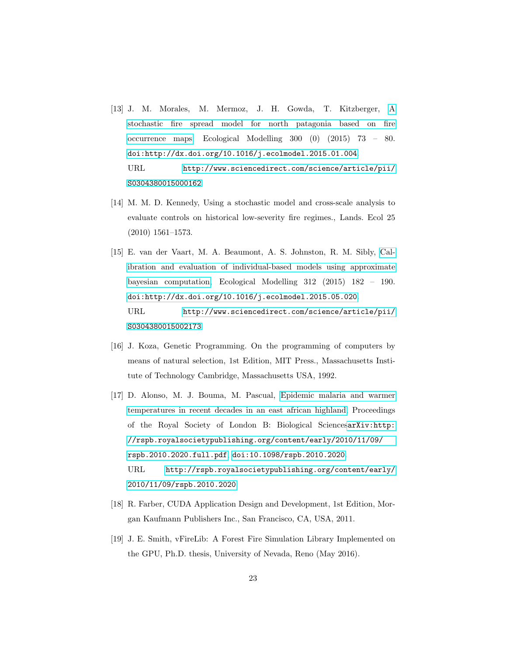- <span id="page-22-0"></span>[13] J. M. Morales, M. Mermoz, J. H. Gowda, T. Kitzberger, [A](http://www.sciencedirect.com/science/article/pii/S0304380015000162) [stochastic fire spread model for north patagonia based on fire](http://www.sciencedirect.com/science/article/pii/S0304380015000162) [occurrence maps,](http://www.sciencedirect.com/science/article/pii/S0304380015000162) Ecological Modelling 300 (0) (2015) 73 – 80. [doi:http://dx.doi.org/10.1016/j.ecolmodel.2015.01.004](http://dx.doi.org/http://dx.doi.org/10.1016/j.ecolmodel.2015.01.004). URL [http://www.sciencedirect.com/science/article/pii/](http://www.sciencedirect.com/science/article/pii/S0304380015000162) [S0304380015000162](http://www.sciencedirect.com/science/article/pii/S0304380015000162)
- <span id="page-22-1"></span>[14] M. M. D. Kennedy, Using a stochastic model and cross-scale analysis to evaluate controls on historical low-severity fire regimes., Lands. Ecol 25 (2010) 1561–1573.
- <span id="page-22-2"></span>[15] E. van der Vaart, M. A. Beaumont, A. S. Johnston, R. M. Sibly, [Cal](http://www.sciencedirect.com/science/article/pii/S0304380015002173)[ibration and evaluation of individual-based models using approximate](http://www.sciencedirect.com/science/article/pii/S0304380015002173) [bayesian computation,](http://www.sciencedirect.com/science/article/pii/S0304380015002173) Ecological Modelling 312 (2015) 182 – 190. [doi:http://dx.doi.org/10.1016/j.ecolmodel.2015.05.020](http://dx.doi.org/http://dx.doi.org/10.1016/j.ecolmodel.2015.05.020). URL [http://www.sciencedirect.com/science/article/pii/](http://www.sciencedirect.com/science/article/pii/S0304380015002173) [S0304380015002173](http://www.sciencedirect.com/science/article/pii/S0304380015002173)
- <span id="page-22-3"></span>[16] J. Koza, Genetic Programming. On the programming of computers by means of natural selection, 1st Edition, MIT Press., Massachusetts Institute of Technology Cambridge, Massachusetts USA, 1992.
- <span id="page-22-4"></span>[17] D. Alonso, M. J. Bouma, M. Pascual, [Epidemic malaria and warmer](http://rspb.royalsocietypublishing.org/content/early/2010/11/09/rspb.2010.2020) [temperatures in recent decades in an east african highland,](http://rspb.royalsocietypublishing.org/content/early/2010/11/09/rspb.2010.2020) Proceedings of the Royal Society of London B: Biological Sciences[arXiv:http:](http://arxiv.org/abs/http://rspb.royalsocietypublishing.org/content/early/2010/11/09/rspb.2010.2020.full.pdf) [//rspb.royalsocietypublishing.org/content/early/2010/11/09/](http://arxiv.org/abs/http://rspb.royalsocietypublishing.org/content/early/2010/11/09/rspb.2010.2020.full.pdf) [rspb.2010.2020.full.pdf](http://arxiv.org/abs/http://rspb.royalsocietypublishing.org/content/early/2010/11/09/rspb.2010.2020.full.pdf), [doi:10.1098/rspb.2010.2020](http://dx.doi.org/10.1098/rspb.2010.2020). URL [http://rspb.royalsocietypublishing.org/content/early/](http://rspb.royalsocietypublishing.org/content/early/2010/11/09/rspb.2010.2020) [2010/11/09/rspb.2010.2020](http://rspb.royalsocietypublishing.org/content/early/2010/11/09/rspb.2010.2020)
- <span id="page-22-5"></span>[18] R. Farber, CUDA Application Design and Development, 1st Edition, Morgan Kaufmann Publishers Inc., San Francisco, CA, USA, 2011.
- <span id="page-22-6"></span>[19] J. E. Smith, vFireLib: A Forest Fire Simulation Library Implemented on the GPU, Ph.D. thesis, University of Nevada, Reno (May 2016).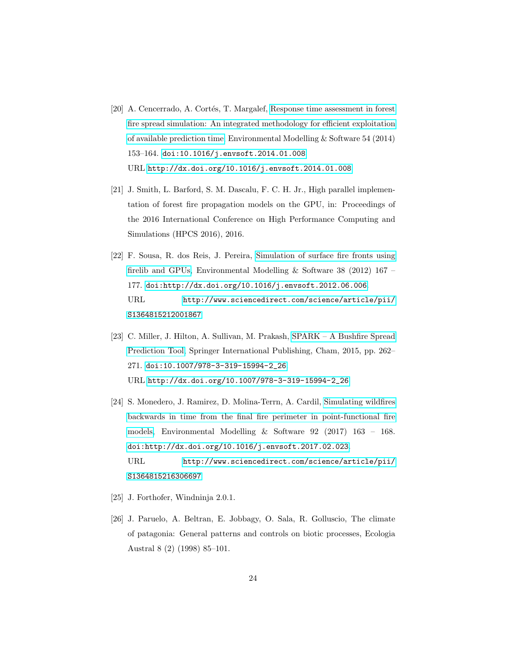- <span id="page-23-0"></span>[20] A. Cencerrado, A. Cortés, T. Margalef, [Response time assessment in forest](http://dx.doi.org/10.1016/j.envsoft.2014.01.008) [fire spread simulation: An integrated methodology for efficient exploitation](http://dx.doi.org/10.1016/j.envsoft.2014.01.008) [of available prediction time,](http://dx.doi.org/10.1016/j.envsoft.2014.01.008) Environmental Modelling & Software 54 (2014) 153–164. [doi:10.1016/j.envsoft.2014.01.008](http://dx.doi.org/10.1016/j.envsoft.2014.01.008). URL <http://dx.doi.org/10.1016/j.envsoft.2014.01.008>
- <span id="page-23-1"></span>[21] J. Smith, L. Barford, S. M. Dascalu, F. C. H. Jr., High parallel implementation of forest fire propagation models on the GPU, in: Proceedings of the 2016 International Conference on High Performance Computing and Simulations (HPCS 2016), 2016.
- <span id="page-23-2"></span>[22] F. Sousa, R. dos Reis, J. Pereira, [Simulation of surface fire fronts using](http://www.sciencedirect.com/science/article/pii/S1364815212001867) [firelib and GPUs,](http://www.sciencedirect.com/science/article/pii/S1364815212001867) Environmental Modelling & Software 38 (2012) 167 – 177. [doi:http://dx.doi.org/10.1016/j.envsoft.2012.06.006](http://dx.doi.org/http://dx.doi.org/10.1016/j.envsoft.2012.06.006). URL [http://www.sciencedirect.com/science/article/pii/](http://www.sciencedirect.com/science/article/pii/S1364815212001867) [S1364815212001867](http://www.sciencedirect.com/science/article/pii/S1364815212001867)
- <span id="page-23-3"></span>[23] C. Miller, J. Hilton, A. Sullivan, M. Prakash, [SPARK – A Bushfire Spread](http://dx.doi.org/10.1007/978-3-319-15994-2_26) [Prediction Tool,](http://dx.doi.org/10.1007/978-3-319-15994-2_26) Springer International Publishing, Cham, 2015, pp. 262– 271. [doi:10.1007/978-3-319-15994-2\\_26](http://dx.doi.org/10.1007/978-3-319-15994-2_26). URL [http://dx.doi.org/10.1007/978-3-319-15994-2\\_26](http://dx.doi.org/10.1007/978-3-319-15994-2_26)
- <span id="page-23-4"></span>[24] S. Monedero, J. Ramirez, D. Molina-Terrn, A. Cardil, [Simulating wildfires](http://www.sciencedirect.com/science/article/pii/S1364815216306697) [backwards in time from the final fire perimeter in point-functional fire](http://www.sciencedirect.com/science/article/pii/S1364815216306697) [models,](http://www.sciencedirect.com/science/article/pii/S1364815216306697) Environmental Modelling & Software 92 (2017) 163 – 168. [doi:http://dx.doi.org/10.1016/j.envsoft.2017.02.023](http://dx.doi.org/http://dx.doi.org/10.1016/j.envsoft.2017.02.023). URL [http://www.sciencedirect.com/science/article/pii/](http://www.sciencedirect.com/science/article/pii/S1364815216306697) [S1364815216306697](http://www.sciencedirect.com/science/article/pii/S1364815216306697)
- <span id="page-23-5"></span>[25] J. Forthofer, Windninja 2.0.1.
- <span id="page-23-6"></span>[26] J. Paruelo, A. Beltran, E. Jobbagy, O. Sala, R. Golluscio, The climate of patagonia: General patterns and controls on biotic processes, Ecologia Austral 8 (2) (1998) 85–101.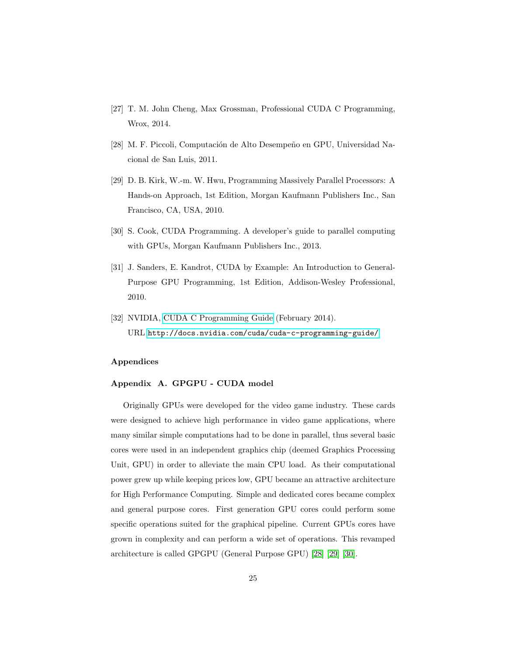- <span id="page-24-1"></span>[27] T. M. John Cheng, Max Grossman, Professional CUDA C Programming, Wrox, 2014.
- <span id="page-24-2"></span>[28] M. F. Piccoli, Computación de Alto Desempeño en GPU, Universidad Nacional de San Luis, 2011.
- <span id="page-24-3"></span>[29] D. B. Kirk, W.-m. W. Hwu, Programming Massively Parallel Processors: A Hands-on Approach, 1st Edition, Morgan Kaufmann Publishers Inc., San Francisco, CA, USA, 2010.
- <span id="page-24-4"></span>[30] S. Cook, CUDA Programming. A developer's guide to parallel computing with GPUs, Morgan Kaufmann Publishers Inc., 2013.
- <span id="page-24-6"></span>[31] J. Sanders, E. Kandrot, CUDA by Example: An Introduction to General-Purpose GPU Programming, 1st Edition, Addison-Wesley Professional, 2010.
- <span id="page-24-5"></span>[32] NVIDIA, [CUDA C Programming Guide](http://docs.nvidia.com/cuda/cuda-c-programming-guide/) (February 2014). URL <http://docs.nvidia.com/cuda/cuda-c-programming-guide/>

#### Appendices

#### <span id="page-24-0"></span>Appendix A. GPGPU - CUDA model

Originally GPUs were developed for the video game industry. These cards were designed to achieve high performance in video game applications, where many similar simple computations had to be done in parallel, thus several basic cores were used in an independent graphics chip (deemed Graphics Processing Unit, GPU) in order to alleviate the main CPU load. As their computational power grew up while keeping prices low, GPU became an attractive architecture for High Performance Computing. Simple and dedicated cores became complex and general purpose cores. First generation GPU cores could perform some specific operations suited for the graphical pipeline. Current GPUs cores have grown in complexity and can perform a wide set of operations. This revamped architecture is called GPGPU (General Purpose GPU) [\[28\]](#page-24-2) [\[29\]](#page-24-3) [\[30\]](#page-24-4).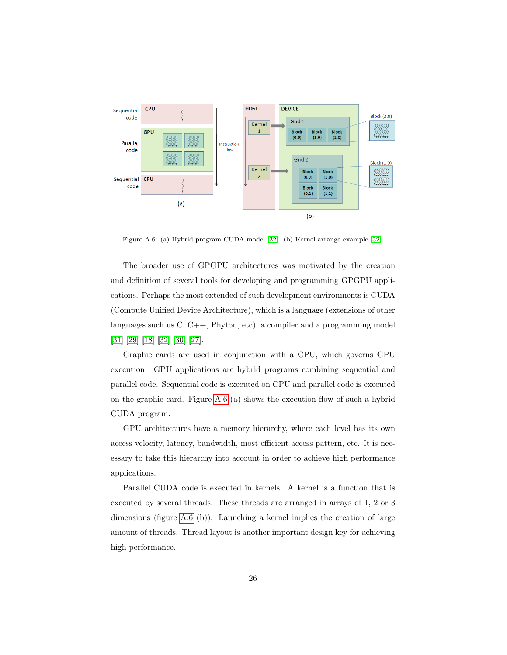

<span id="page-25-0"></span>Figure A.6: (a) Hybrid program CUDA model [\[32\]](#page-24-5). (b) Kernel arrange example [\[32\]](#page-24-5).

The broader use of GPGPU architectures was motivated by the creation and definition of several tools for developing and programming GPGPU applications. Perhaps the most extended of such development environments is CUDA (Compute Unified Device Architecture), which is a language (extensions of other languages such us C, C++, Phyton, etc), a compiler and a programming model [\[31\]](#page-24-6) [\[29\]](#page-24-3) [\[18\]](#page-22-5) [\[32\]](#page-24-5) [\[30\]](#page-24-4) [\[27\]](#page-24-1).

Graphic cards are used in conjunction with a CPU, which governs GPU execution. GPU applications are hybrid programs combining sequential and parallel code. Sequential code is executed on CPU and parallel code is executed on the graphic card. Figure [A.6](#page-25-0) (a) shows the execution flow of such a hybrid CUDA program.

GPU architectures have a memory hierarchy, where each level has its own access velocity, latency, bandwidth, most efficient access pattern, etc. It is necessary to take this hierarchy into account in order to achieve high performance applications.

Parallel CUDA code is executed in kernels. A kernel is a function that is executed by several threads. These threads are arranged in arrays of 1, 2 or 3 dimensions (figure [A.6](#page-25-0) (b)). Launching a kernel implies the creation of large amount of threads. Thread layout is another important design key for achieving high performance.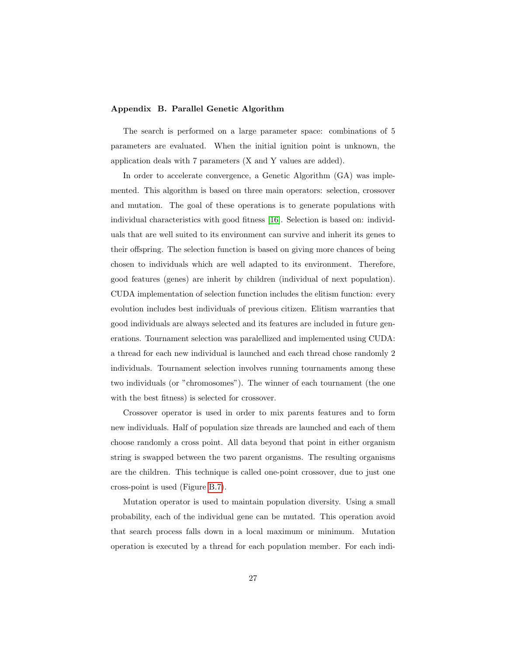### Appendix B. Parallel Genetic Algorithm

The search is performed on a large parameter space: combinations of 5 parameters are evaluated. When the initial ignition point is unknown, the application deals with 7 parameters (X and Y values are added).

In order to accelerate convergence, a Genetic Algorithm (GA) was implemented. This algorithm is based on three main operators: selection, crossover and mutation. The goal of these operations is to generate populations with individual characteristics with good fitness [\[16\]](#page-22-3). Selection is based on: individuals that are well suited to its environment can survive and inherit its genes to their offspring. The selection function is based on giving more chances of being chosen to individuals which are well adapted to its environment. Therefore, good features (genes) are inherit by children (individual of next population). CUDA implementation of selection function includes the elitism function: every evolution includes best individuals of previous citizen. Elitism warranties that good individuals are always selected and its features are included in future generations. Tournament selection was paralellized and implemented using CUDA: a thread for each new individual is launched and each thread chose randomly 2 individuals. Tournament selection involves running tournaments among these two individuals (or "chromosomes"). The winner of each tournament (the one with the best fitness) is selected for crossover.

Crossover operator is used in order to mix parents features and to form new individuals. Half of population size threads are launched and each of them choose randomly a cross point. All data beyond that point in either organism string is swapped between the two parent organisms. The resulting organisms are the children. This technique is called one-point crossover, due to just one cross-point is used (Figure [B.7\)](#page-27-1).

Mutation operator is used to maintain population diversity. Using a small probability, each of the individual gene can be mutated. This operation avoid that search process falls down in a local maximum or minimum. Mutation operation is executed by a thread for each population member. For each indi-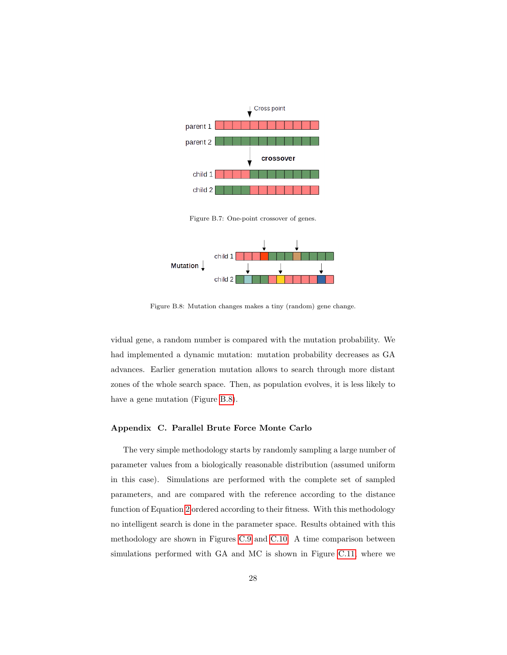

<span id="page-27-1"></span>Figure B.7: One-point crossover of genes.



<span id="page-27-2"></span>Figure B.8: Mutation changes makes a tiny (random) gene change.

vidual gene, a random number is compared with the mutation probability. We had implemented a dynamic mutation: mutation probability decreases as GA advances. Earlier generation mutation allows to search through more distant zones of the whole search space. Then, as population evolves, it is less likely to have a gene mutation (Figure [B.8\)](#page-27-2).

## <span id="page-27-0"></span>Appendix C. Parallel Brute Force Monte Carlo

The very simple methodology starts by randomly sampling a large number of parameter values from a biologically reasonable distribution (assumed uniform in this case). Simulations are performed with the complete set of sampled parameters, and are compared with the reference according to the distance function of Equation [2](#page-8-0) ordered according to their fitness. With this methodology no intelligent search is done in the parameter space. Results obtained with this methodology are shown in Figures [C.9](#page-28-0) and [C.10.](#page-29-1) A time comparison between simulations performed with GA and MC is shown in Figure [C.11,](#page-30-0) where we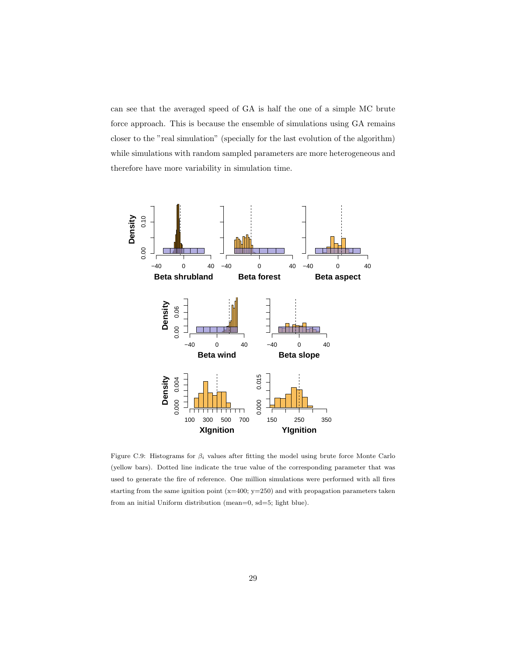can see that the averaged speed of GA is half the one of a simple MC brute force approach. This is because the ensemble of simulations using GA remains closer to the "real simulation" (specially for the last evolution of the algorithm) while simulations with random sampled parameters are more heterogeneous and therefore have more variability in simulation time.



<span id="page-28-0"></span>Figure C.9: Histograms for  $\beta_i$  values after fitting the model using brute force Monte Carlo (yellow bars). Dotted line indicate the true value of the corresponding parameter that was used to generate the fire of reference. One million simulations were performed with all fires starting from the same ignition point  $(x=400; y=250)$  and with propagation parameters taken from an initial Uniform distribution (mean=0, sd=5; light blue).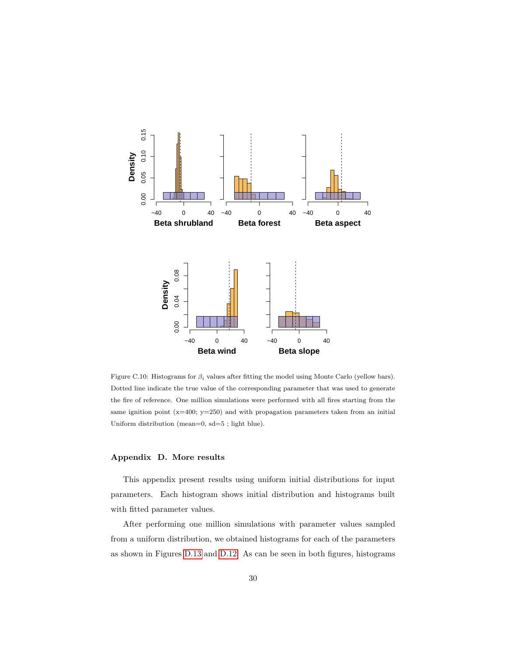

<span id="page-29-1"></span>Figure C.10: Histograms for  $\beta_i$  values after fitting the model using Monte Carlo (yellow bars). Dotted line indicate the true value of the corresponding parameter that was used to generate the fire of reference. One million simulations were performed with all fires starting from the same ignition point  $(x=400; y=250)$  and with propagation parameters taken from an initial Uniform distribution (mean=0, sd=5 ; light blue).

#### <span id="page-29-0"></span>Appendix D. More results

This appendix present results using uniform initial distributions for input parameters. Each histogram shows initial distribution and histograms built with fitted parameter values.

After performing one million simulations with parameter values sampled from a uniform distribution, we obtained histograms for each of the parameters as shown in Figures [D.13](#page-32-0) and [D.12.](#page-31-0) As can be seen in both figures, histograms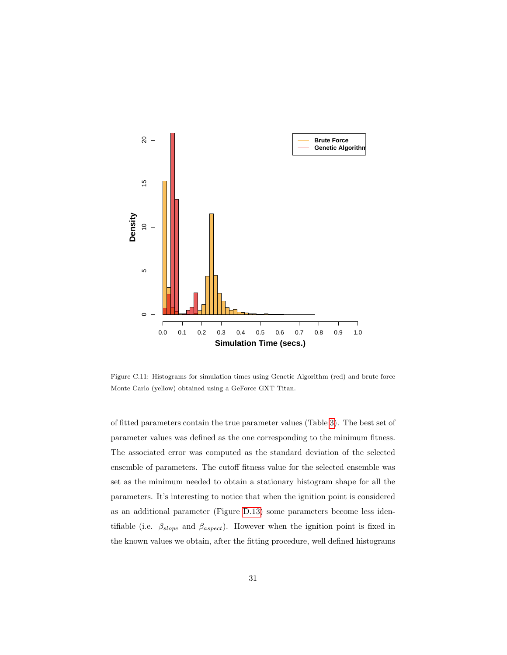

<span id="page-30-0"></span>Figure C.11: Histograms for simulation times using Genetic Algorithm (red) and brute force Monte Carlo (yellow) obtained using a GeForce GXT Titan.

of fitted parameters contain the true parameter values (Table [3\)](#page-13-0). The best set of parameter values was defined as the one corresponding to the minimum fitness. The associated error was computed as the standard deviation of the selected ensemble of parameters. The cutoff fitness value for the selected ensemble was set as the minimum needed to obtain a stationary histogram shape for all the parameters. It's interesting to notice that when the ignition point is considered as an additional parameter (Figure [D.13\)](#page-32-0) some parameters become less identifiable (i.e.  $\beta_{slope}$  and  $\beta_{aspect}$ ). However when the ignition point is fixed in the known values we obtain, after the fitting procedure, well defined histograms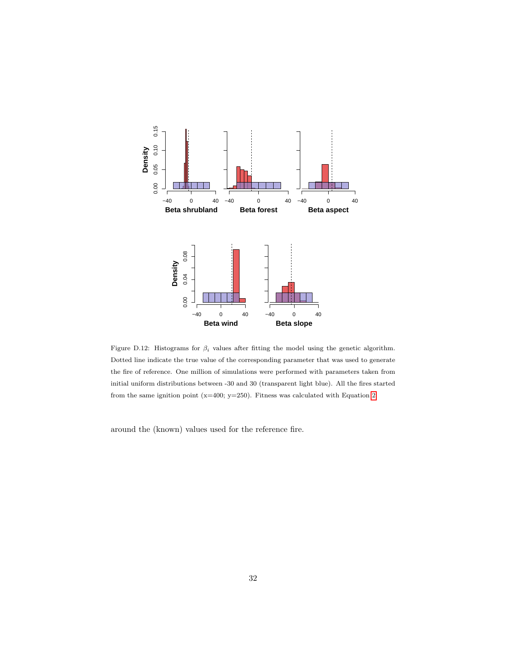

<span id="page-31-0"></span>Figure D.12: Histograms for  $\beta_i$  values after fitting the model using the genetic algorithm. Dotted line indicate the true value of the corresponding parameter that was used to generate the fire of reference. One million of simulations were performed with parameters taken from initial uniform distributions between -30 and 30 (transparent light blue). All the fires started from the same ignition point (x=400; y=250). Fitness was calculated with Equation [2.](#page-8-0)

around the (known) values used for the reference fire.